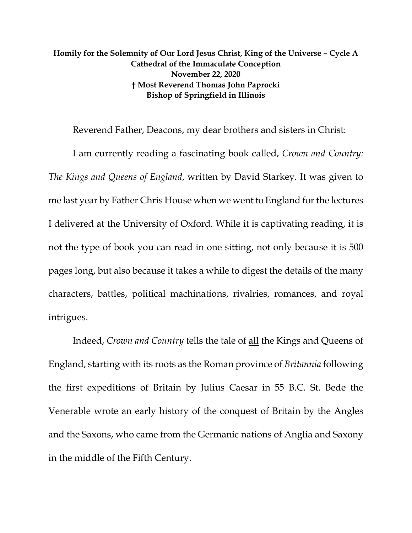## **Homily for the Solemnity of Our Lord Jesus Christ, King of the Universe – Cycle A Cathedral of the Immaculate Conception November 22, 2020 † Most Reverend Thomas John Paprocki Bishop of Springfield in Illinois**

Reverend Father, Deacons, my dear brothers and sisters in Christ:

I am currently reading a fascinating book called, *Crown and Country: The Kings and Queens of England*, written by David Starkey. It was given to me last year by Father Chris House when we went to England for the lectures I delivered at the University of Oxford. While it is captivating reading, it is not the type of book you can read in one sitting, not only because it is 500 pages long, but also because it takes a while to digest the details of the many characters, battles, political machinations, rivalries, romances, and royal intrigues.

Indeed, *Crown and Country* tells the tale of all the Kings and Queens of England, starting with its roots as the Roman province of *Britannia* following the first expeditions of Britain by Julius Caesar in 55 B.C. St. Bede the Venerable wrote an early history of the conquest of Britain by the Angles and the Saxons, who came from the Germanic nations of Anglia and Saxony in the middle of the Fifth Century.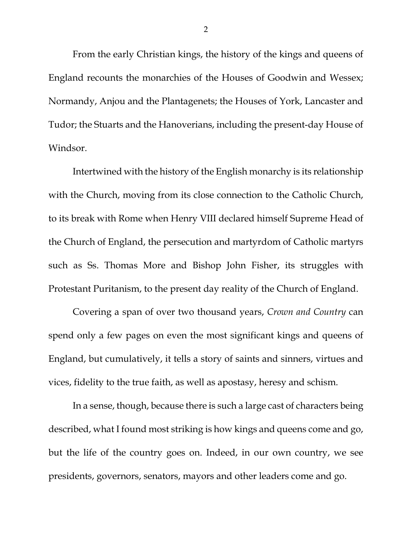From the early Christian kings, the history of the kings and queens of England recounts the monarchies of the Houses of Goodwin and Wessex; Normandy, Anjou and the Plantagenets; the Houses of York, Lancaster and Tudor; the Stuarts and the Hanoverians, including the present-day House of Windsor.

Intertwined with the history of the English monarchy is its relationship with the Church, moving from its close connection to the Catholic Church, to its break with Rome when Henry VIII declared himself Supreme Head of the Church of England, the persecution and martyrdom of Catholic martyrs such as Ss. Thomas More and Bishop John Fisher, its struggles with Protestant Puritanism, to the present day reality of the Church of England.

Covering a span of over two thousand years, *Crown and Country* can spend only a few pages on even the most significant kings and queens of England, but cumulatively, it tells a story of saints and sinners, virtues and vices, fidelity to the true faith, as well as apostasy, heresy and schism.

In a sense, though, because there is such a large cast of characters being described, what I found most striking is how kings and queens come and go, but the life of the country goes on. Indeed, in our own country, we see presidents, governors, senators, mayors and other leaders come and go.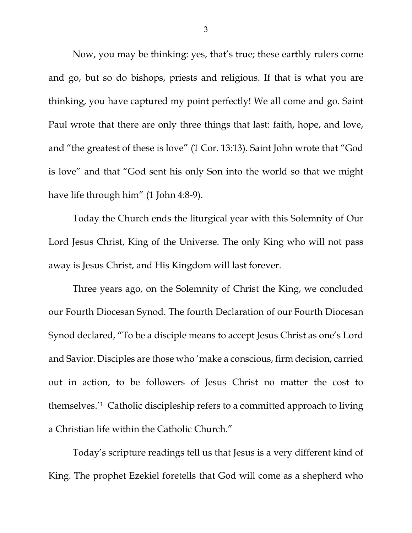Now, you may be thinking: yes, that's true; these earthly rulers come and go, but so do bishops, priests and religious. If that is what you are thinking, you have captured my point perfectly! We all come and go. Saint Paul wrote that there are only three things that last: faith, hope, and love, and "the greatest of these is love" (1 Cor. 13:13). Saint John wrote that "God is love" and that "God sent his only Son into the world so that we might have life through him" (1 John 4:8-9).

Today the Church ends the liturgical year with this Solemnity of Our Lord Jesus Christ, King of the Universe. The only King who will not pass away is Jesus Christ, and His Kingdom will last forever.

Three years ago, on the Solemnity of Christ the King, we concluded our Fourth Diocesan Synod. The fourth Declaration of our Fourth Diocesan Synod declared, "To be a disciple means to accept Jesus Christ as one's Lord and Savior. Disciples are those who 'make a conscious, firm decision, carried out in action, to be followers of Jesus Christ no matter the cost to themselves.'[1](#page-5-0) Catholic discipleship refers to a committed approach to living a Christian life within the Catholic Church."

Today's scripture readings tell us that Jesus is a very different kind of King. The prophet Ezekiel foretells that God will come as a shepherd who

3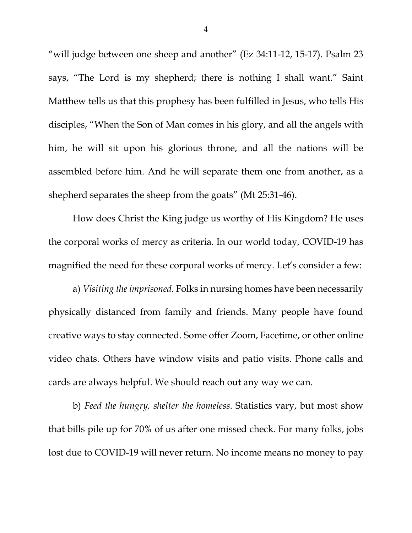"will judge between one sheep and another" (Ez 34:11-12, 15-17). Psalm 23 says, "The Lord is my shepherd; there is nothing I shall want." Saint Matthew tells us that this prophesy has been fulfilled in Jesus, who tells His disciples, "When the Son of Man comes in his glory, and all the angels with him, he will sit upon his glorious throne, and all the nations will be assembled before him. And he will separate them one from another, as a shepherd separates the sheep from the goats" (Mt 25:31-46).

How does Christ the King judge us worthy of His Kingdom? He uses the corporal works of mercy as criteria. In our world today, COVID-19 has magnified the need for these corporal works of mercy. Let's consider a few:

a) *Visiting the imprisoned*. Folks in nursing homes have been necessarily physically distanced from family and friends. Many people have found creative ways to stay connected. Some offer Zoom, Facetime, or other online video chats. Others have window visits and patio visits. Phone calls and cards are always helpful. We should reach out any way we can.

b) *Feed the hungry, shelter the homeless*. Statistics vary, but most show that bills pile up for 70% of us after one missed check. For many folks, jobs lost due to COVID-19 will never return. No income means no money to pay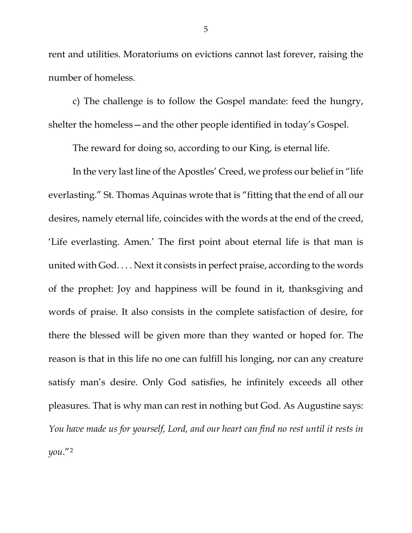rent and utilities. Moratoriums on evictions cannot last forever, raising the number of homeless.

c) The challenge is to follow the Gospel mandate: feed the hungry, shelter the homeless—and the other people identified in today's Gospel.

The reward for doing so, according to our King, is eternal life.

In the very last line of the Apostles' Creed, we profess our belief in "life everlasting." St. Thomas Aquinas wrote that is "fitting that the end of all our desires, namely eternal life, coincides with the words at the end of the creed, 'Life everlasting. Amen.' The first point about eternal life is that man is united with God. . . . Next it consists in perfect praise, according to the words of the prophet: Joy and happiness will be found in it, thanksgiving and words of praise. It also consists in the complete satisfaction of desire, for there the blessed will be given more than they wanted or hoped for. The reason is that in this life no one can fulfill his longing, nor can any creature satisfy man's desire. Only God satisfies, he infinitely exceeds all other pleasures. That is why man can rest in nothing but God. As Augustine says: *You have made us for yourself, Lord, and our heart can find no rest until it rests in you*."[2](#page-5-1)